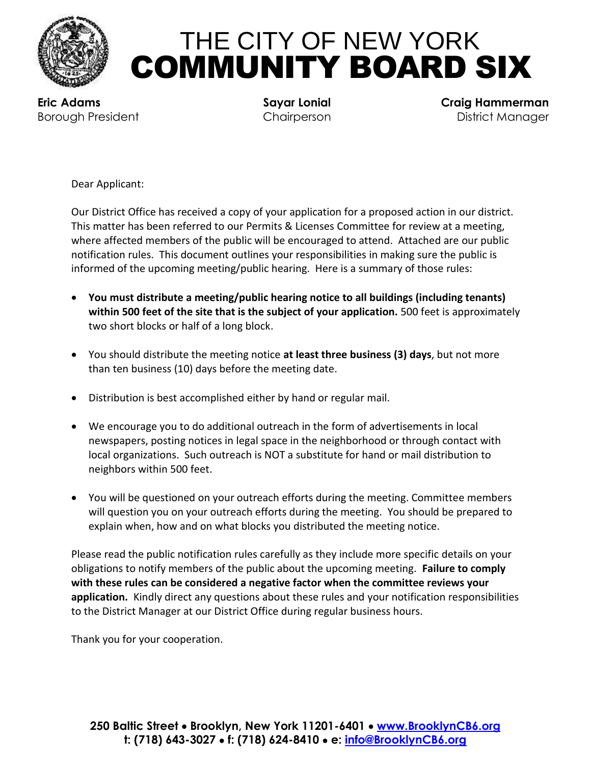

## THE CITY OF NEW YORK COMMUNITY BOARD SIX

 **Eric Adams Sayar Lonial Craig Hammerman Borough President Chairperson Chairperson District Manager** 

Dear Applicant:

Our District Office has received a copy of your application for a proposed action in our district. This matter has been referred to our Permits & Licenses Committee for review at a meeting, where affected members of the public will be encouraged to attend. Attached are our public notification rules. This document outlines your responsibilities in making sure the public is informed of the upcoming meeting/public hearing. Here is a summary of those rules:

- **You must distribute a meeting/public hearing notice to all buildings (including tenants) within 500 feet of the site that is the subject of your application.** 500 feet is approximately two short blocks or half of a long block.
- You should distribute the meeting notice **at least three business (3) days**, but not more than ten business (10) days before the meeting date.
- Distribution is best accomplished either by hand or regular mail.
- We encourage you to do additional outreach in the form of advertisements in local newspapers, posting notices in legal space in the neighborhood or through contact with local organizations. Such outreach is NOT a substitute for hand or mail distribution to neighbors within 500 feet.
- You will be questioned on your outreach efforts during the meeting. Committee members will question you on your outreach efforts during the meeting. You should be prepared to explain when, how and on what blocks you distributed the meeting notice.

Please read the public notification rules carefully as they include more specific details on your obligations to notify members of the public about the upcoming meeting. **Failure to comply with these rules can be considered a negative factor when the committee reviews your application.** Kindly direct any questions about these rules and your notification responsibilities to the District Manager at our District Office during regular business hours.

Thank you for your cooperation.